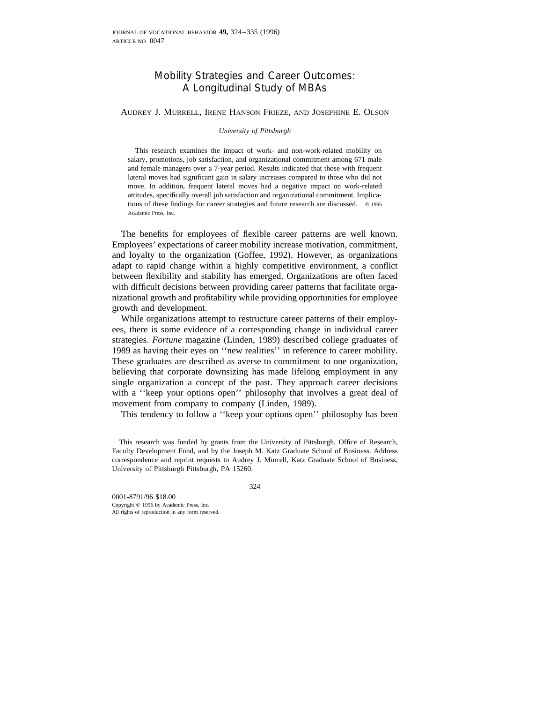# Mobility Strategies and Career Outcomes: A Longitudinal Study of MBAs

#### AUDREY J. MURRELL, IRENE HANSON FRIEZE, AND JOSEPHINE E. OLSON

#### *University of Pittsburgh*

This research examines the impact of work- and non-work-related mobility on salary, promotions, job satisfaction, and organizational commitment among 671 male and female managers over a 7-year period. Results indicated that those with frequent lateral moves had significant gain in salary increases compared to those who did not move. In addition, frequent lateral moves had a negative impact on work-related attitudes, specifically overall job satisfaction and organizational commitment. Implications of these findings for career strategies and future research are discussed.  $\circ$  1996 Academic Press, Inc.

The benefits for employees of flexible career patterns are well known. Employees' expectations of career mobility increase motivation, commitment, and loyalty to the organization (Goffee, 1992). However, as organizations adapt to rapid change within a highly competitive environment, a conflict between flexibility and stability has emerged. Organizations are often faced with difficult decisions between providing career patterns that facilitate organizational growth and profitability while providing opportunities for employee growth and development.

While organizations attempt to restructure career patterns of their employees, there is some evidence of a corresponding change in individual career strategies. *Fortune* magazine (Linden, 1989) described college graduates of 1989 as having their eyes on ''new realities'' in reference to career mobility. These graduates are described as averse to commitment to one organization, believing that corporate downsizing has made lifelong employment in any single organization a concept of the past. They approach career decisions with a ''keep your options open'' philosophy that involves a great deal of movement from company to company (Linden, 1989).

This tendency to follow a ''keep your options open'' philosophy has been

This research was funded by grants from the University of Pittsburgh, Office of Research, Faculty Development Fund, and by the Joseph M. Katz Graduate School of Business. Address correspondence and reprint requests to Audrey J. Murrell, Katz Graduate School of Business, University of Pittsburgh Pittsburgh, PA 15260.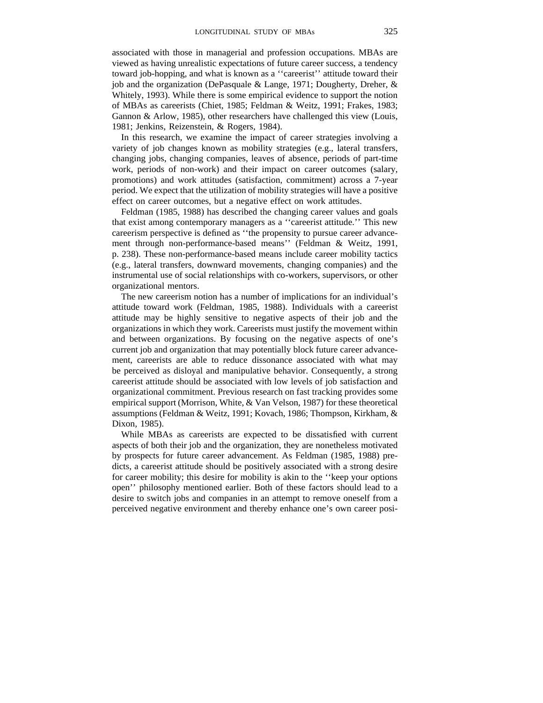associated with those in managerial and profession occupations. MBAs are viewed as having unrealistic expectations of future career success, a tendency toward job-hopping, and what is known as a ''careerist'' attitude toward their job and the organization (DePasquale & Lange, 1971; Dougherty, Dreher, & Whitely, 1993). While there is some empirical evidence to support the notion of MBAs as careerists (Chiet, 1985; Feldman & Weitz, 1991; Frakes, 1983; Gannon & Arlow, 1985), other researchers have challenged this view (Louis, 1981; Jenkins, Reizenstein, & Rogers, 1984).

In this research, we examine the impact of career strategies involving a variety of job changes known as mobility strategies (e.g., lateral transfers, changing jobs, changing companies, leaves of absence, periods of part-time work, periods of non-work) and their impact on career outcomes (salary, promotions) and work attitudes (satisfaction, commitment) across a 7-year period. We expect that the utilization of mobility strategies will have a positive effect on career outcomes, but a negative effect on work attitudes.

Feldman (1985, 1988) has described the changing career values and goals that exist among contemporary managers as a ''careerist attitude.'' This new careerism perspective is defined as ''the propensity to pursue career advancement through non-performance-based means'' (Feldman & Weitz, 1991, p. 238). These non-performance-based means include career mobility tactics (e.g., lateral transfers, downward movements, changing companies) and the instrumental use of social relationships with co-workers, supervisors, or other organizational mentors.

The new careerism notion has a number of implications for an individual's attitude toward work (Feldman, 1985, 1988). Individuals with a careerist attitude may be highly sensitive to negative aspects of their job and the organizations in which they work. Careerists must justify the movement within and between organizations. By focusing on the negative aspects of one's current job and organization that may potentially block future career advancement, careerists are able to reduce dissonance associated with what may be perceived as disloyal and manipulative behavior. Consequently, a strong careerist attitude should be associated with low levels of job satisfaction and organizational commitment. Previous research on fast tracking provides some empirical support (Morrison, White, & Van Velson, 1987) for these theoretical assumptions (Feldman & Weitz, 1991; Kovach, 1986; Thompson, Kirkham, & Dixon, 1985).

While MBAs as careerists are expected to be dissatisfied with current aspects of both their job and the organization, they are nonetheless motivated by prospects for future career advancement. As Feldman (1985, 1988) predicts, a careerist attitude should be positively associated with a strong desire for career mobility; this desire for mobility is akin to the ''keep your options open'' philosophy mentioned earlier. Both of these factors should lead to a desire to switch jobs and companies in an attempt to remove oneself from a perceived negative environment and thereby enhance one's own career posi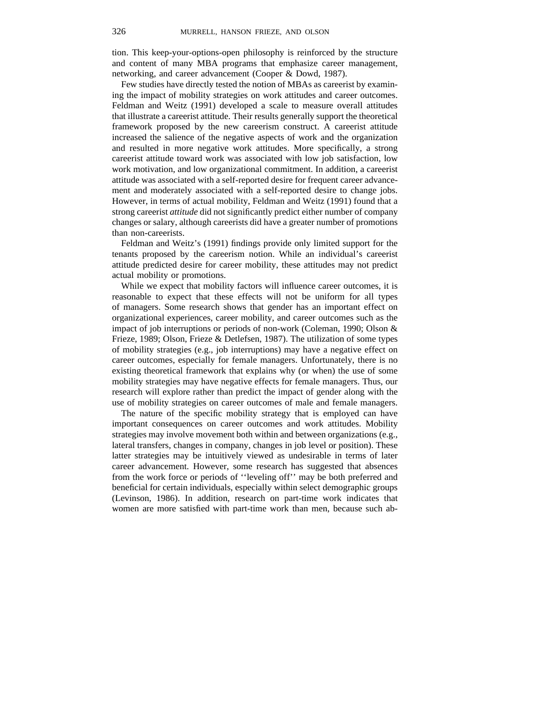tion. This keep-your-options-open philosophy is reinforced by the structure and content of many MBA programs that emphasize career management, networking, and career advancement (Cooper & Dowd, 1987).

Few studies have directly tested the notion of MBAs as careerist by examining the impact of mobility strategies on work attitudes and career outcomes. Feldman and Weitz (1991) developed a scale to measure overall attitudes that illustrate a careerist attitude. Their results generally support the theoretical framework proposed by the new careerism construct. A careerist attitude increased the salience of the negative aspects of work and the organization and resulted in more negative work attitudes. More specifically, a strong careerist attitude toward work was associated with low job satisfaction, low work motivation, and low organizational commitment. In addition, a careerist attitude was associated with a self-reported desire for frequent career advancement and moderately associated with a self-reported desire to change jobs. However, in terms of actual mobility, Feldman and Weitz (1991) found that a strong careerist *attitude* did not significantly predict either number of company changes or salary, although careerists did have a greater number of promotions than non-careerists.

Feldman and Weitz's (1991) findings provide only limited support for the tenants proposed by the careerism notion. While an individual's careerist attitude predicted desire for career mobility, these attitudes may not predict actual mobility or promotions.

While we expect that mobility factors will influence career outcomes, it is reasonable to expect that these effects will not be uniform for all types of managers. Some research shows that gender has an important effect on organizational experiences, career mobility, and career outcomes such as the impact of job interruptions or periods of non-work (Coleman, 1990; Olson & Frieze, 1989; Olson, Frieze & Detlefsen, 1987). The utilization of some types of mobility strategies (e.g., job interruptions) may have a negative effect on career outcomes, especially for female managers. Unfortunately, there is no existing theoretical framework that explains why (or when) the use of some mobility strategies may have negative effects for female managers. Thus, our research will explore rather than predict the impact of gender along with the use of mobility strategies on career outcomes of male and female managers.

The nature of the specific mobility strategy that is employed can have important consequences on career outcomes and work attitudes. Mobility strategies may involve movement both within and between organizations (e.g., lateral transfers, changes in company, changes in job level or position). These latter strategies may be intuitively viewed as undesirable in terms of later career advancement. However, some research has suggested that absences from the work force or periods of ''leveling off'' may be both preferred and beneficial for certain individuals, especially within select demographic groups (Levinson, 1986). In addition, research on part-time work indicates that women are more satisfied with part-time work than men, because such ab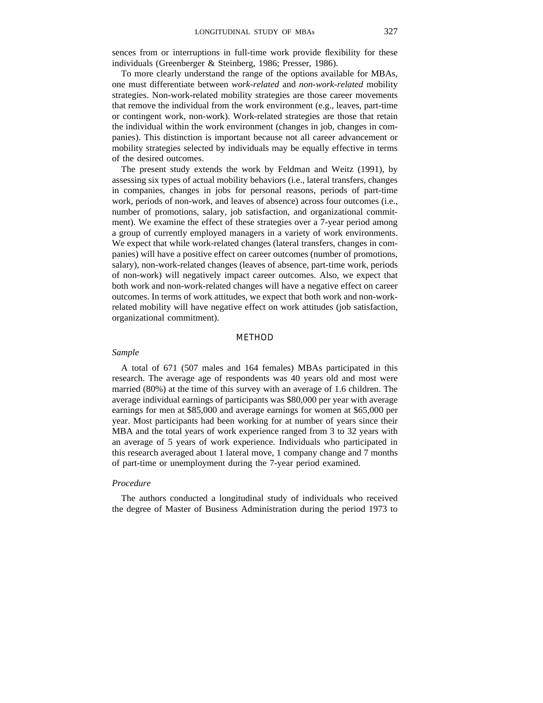sences from or interruptions in full-time work provide flexibility for these individuals (Greenberger & Steinberg, 1986; Presser, 1986).

To more clearly understand the range of the options available for MBAs, one must differentiate between *work-related* and *non-work-related* mobility strategies. Non-work-related mobility strategies are those career movements that remove the individual from the work environment (e.g., leaves, part-time or contingent work, non-work). Work-related strategies are those that retain the individual within the work environment (changes in job, changes in companies). This distinction is important because not all career advancement or mobility strategies selected by individuals may be equally effective in terms of the desired outcomes.

The present study extends the work by Feldman and Weitz (1991), by assessing six types of actual mobility behaviors (i.e., lateral transfers, changes in companies, changes in jobs for personal reasons, periods of part-time work, periods of non-work, and leaves of absence) across four outcomes (i.e., number of promotions, salary, job satisfaction, and organizational commitment). We examine the effect of these strategies over a 7-year period among a group of currently employed managers in a variety of work environments. We expect that while work-related changes (lateral transfers, changes in companies) will have a positive effect on career outcomes (number of promotions, salary), non-work-related changes (leaves of absence, part-time work, periods of non-work) will negatively impact career outcomes. Also, we expect that both work and non-work-related changes will have a negative effect on career outcomes. In terms of work attitudes, we expect that both work and non-workrelated mobility will have negative effect on work attitudes (job satisfaction, organizational commitment).

#### **METHOD**

#### *Sample*

A total of 671 (507 males and 164 females) MBAs participated in this research. The average age of respondents was 40 years old and most were married (80%) at the time of this survey with an average of 1.6 children. The average individual earnings of participants was \$80,000 per year with average earnings for men at \$85,000 and average earnings for women at \$65,000 per year. Most participants had been working for at number of years since their MBA and the total years of work experience ranged from 3 to 32 years with an average of 5 years of work experience. Individuals who participated in this research averaged about 1 lateral move, 1 company change and 7 months of part-time or unemployment during the 7-year period examined.

#### *Procedure*

The authors conducted a longitudinal study of individuals who received the degree of Master of Business Administration during the period 1973 to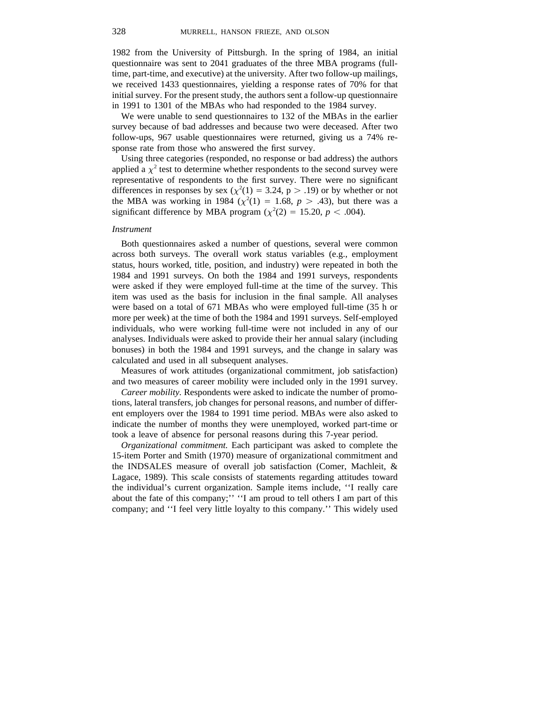1982 from the University of Pittsburgh. In the spring of 1984, an initial questionnaire was sent to 2041 graduates of the three MBA programs (fulltime, part-time, and executive) at the university. After two follow-up mailings, we received 1433 questionnaires, yielding a response rates of 70% for that initial survey. For the present study, the authors sent a follow-up questionnaire in 1991 to 1301 of the MBAs who had responded to the 1984 survey.

We were unable to send questionnaires to 132 of the MBAs in the earlier survey because of bad addresses and because two were deceased. After two follow-ups, 967 usable questionnaires were returned, giving us a 74% response rate from those who answered the first survey.

Using three categories (responded, no response or bad address) the authors applied a  $\chi^2$  test to determine whether respondents to the second survey were representative of respondents to the first survey. There were no significant differences in responses by sex ( $\chi^2(1) = 3.24$ , p > .19) or by whether or not the MBA was working in 1984 ( $\chi^2(1) = 1.68$ ,  $p > .43$ ), but there was a significant difference by MBA program  $(\chi^2(2) = 15.20, p < .004)$ .

#### *Instrument*

Both questionnaires asked a number of questions, several were common across both surveys. The overall work status variables (e.g., employment status, hours worked, title, position, and industry) were repeated in both the 1984 and 1991 surveys. On both the 1984 and 1991 surveys, respondents were asked if they were employed full-time at the time of the survey. This item was used as the basis for inclusion in the final sample. All analyses were based on a total of 671 MBAs who were employed full-time (35 h or more per week) at the time of both the 1984 and 1991 surveys. Self-employed individuals, who were working full-time were not included in any of our analyses. Individuals were asked to provide their her annual salary (including bonuses) in both the 1984 and 1991 surveys, and the change in salary was calculated and used in all subsequent analyses.

Measures of work attitudes (organizational commitment, job satisfaction) and two measures of career mobility were included only in the 1991 survey.

*Career mobility.* Respondents were asked to indicate the number of promotions, lateral transfers, job changes for personal reasons, and number of different employers over the 1984 to 1991 time period. MBAs were also asked to indicate the number of months they were unemployed, worked part-time or took a leave of absence for personal reasons during this 7-year period.

*Organizational commitment.* Each participant was asked to complete the 15-item Porter and Smith (1970) measure of organizational commitment and the INDSALES measure of overall job satisfaction (Comer, Machleit, & Lagace, 1989). This scale consists of statements regarding attitudes toward the individual's current organization. Sample items include, ''I really care about the fate of this company;'' ''I am proud to tell others I am part of this company; and ''I feel very little loyalty to this company.'' This widely used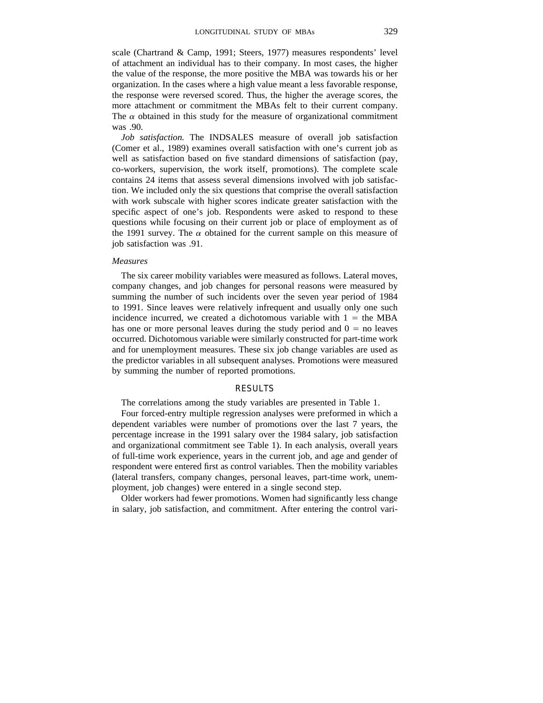scale (Chartrand & Camp, 1991; Steers, 1977) measures respondents' level of attachment an individual has to their company. In most cases, the higher the value of the response, the more positive the MBA was towards his or her organization. In the cases where a high value meant a less favorable response, the response were reversed scored. Thus, the higher the average scores, the more attachment or commitment the MBAs felt to their current company. The  $\alpha$  obtained in this study for the measure of organizational commitment was .90.

*Job satisfaction.* The INDSALES measure of overall job satisfaction (Comer et al., 1989) examines overall satisfaction with one's current job as well as satisfaction based on five standard dimensions of satisfaction (pay, co-workers, supervision, the work itself, promotions). The complete scale contains 24 items that assess several dimensions involved with job satisfaction. We included only the six questions that comprise the overall satisfaction with work subscale with higher scores indicate greater satisfaction with the specific aspect of one's job. Respondents were asked to respond to these questions while focusing on their current job or place of employment as of the 1991 survey. The  $\alpha$  obtained for the current sample on this measure of job satisfaction was .91.

### *Measures*

The six career mobility variables were measured as follows. Lateral moves, company changes, and job changes for personal reasons were measured by summing the number of such incidents over the seven year period of 1984 to 1991. Since leaves were relatively infrequent and usually only one such incidence incurred, we created a dichotomous variable with  $1 =$  the MBA has one or more personal leaves during the study period and  $0 =$  no leaves occurred. Dichotomous variable were similarly constructed for part-time work and for unemployment measures. These six job change variables are used as the predictor variables in all subsequent analyses. Promotions were measured by summing the number of reported promotions.

## RESULTS

The correlations among the study variables are presented in Table 1.

Four forced-entry multiple regression analyses were preformed in which a dependent variables were number of promotions over the last 7 years, the percentage increase in the 1991 salary over the 1984 salary, job satisfaction and organizational commitment see Table 1). In each analysis, overall years of full-time work experience, years in the current job, and age and gender of respondent were entered first as control variables. Then the mobility variables (lateral transfers, company changes, personal leaves, part-time work, unemployment, job changes) were entered in a single second step.

Older workers had fewer promotions. Women had significantly less change in salary, job satisfaction, and commitment. After entering the control vari-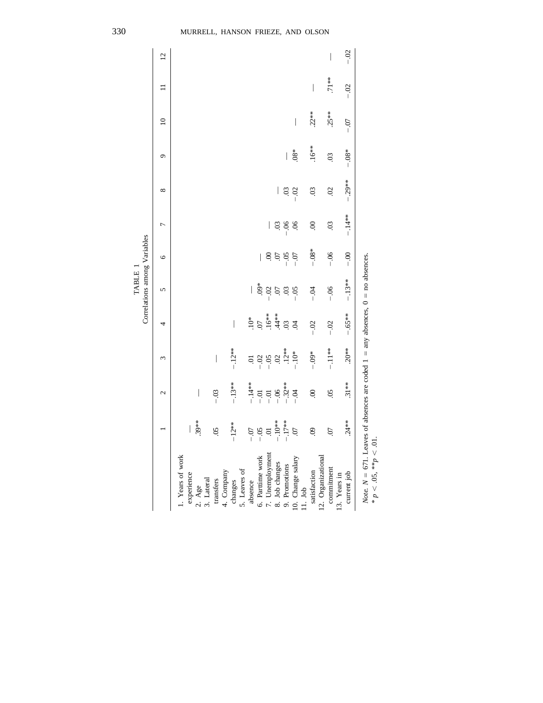|                                       | $\overline{c}$  |                  |            |          |                           |                                                                                       |                                       |  |                                                                                                                                               |                                                                                                                      |    |                                                                                                                                                                   |                          | $\overline{\phantom{a}}$  |              | $-0.02$     |
|---------------------------------------|-----------------|------------------|------------|----------|---------------------------|---------------------------------------------------------------------------------------|---------------------------------------|--|-----------------------------------------------------------------------------------------------------------------------------------------------|----------------------------------------------------------------------------------------------------------------------|----|-------------------------------------------------------------------------------------------------------------------------------------------------------------------|--------------------------|---------------------------|--------------|-------------|
| Correlations among Variables<br>TABLE |                 |                  |            |          |                           |                                                                                       |                                       |  |                                                                                                                                               |                                                                                                                      |    |                                                                                                                                                                   | $\overline{\phantom{a}}$ | $.71**$                   |              | $-.02$      |
|                                       | $\overline{10}$ |                  |            |          |                           |                                                                                       |                                       |  |                                                                                                                                               |                                                                                                                      |    | $\begin{array}{c} \hline \end{array}$                                                                                                                             | $.22***$                 | $.25**$                   |              | $-0.7$      |
|                                       | G               |                  |            |          |                           |                                                                                       |                                       |  |                                                                                                                                               |                                                                                                                      | I  | $.08*$                                                                                                                                                            | $.16***$                 | .03                       |              | $-0.8*$     |
|                                       | ${}^{\circ}$    |                  |            |          |                           |                                                                                       |                                       |  |                                                                                                                                               |                                                                                                                      | 03 | $-02$                                                                                                                                                             | $\overline{0}$           | $\mathfrak{S}$            |              | $-29**$     |
|                                       | Γ               |                  |            |          |                           |                                                                                       |                                       |  |                                                                                                                                               | $rac{3}{6}$                                                                                                          |    | 66                                                                                                                                                                | $\odot$                  | $\overline{0}$            |              | $-14**$     |
|                                       | $\circ$         |                  |            |          |                           |                                                                                       |                                       |  | $\begin{array}{c} \begin{array}{c} \begin{array}{c} \begin{array}{c} \end{array} \end{array} \end{array} \end{array} \end{array} \end{array}$ | 25.000                                                                                                               |    |                                                                                                                                                                   | $-0.8*$                  | $-06$                     |              | $-0$        |
|                                       | 5               |                  |            |          |                           |                                                                                       |                                       |  |                                                                                                                                               | $rac{3}{6}$<br>$rac{3}{6}$<br>$rac{3}{6}$<br>$rac{3}{6}$<br>$rac{3}{6}$<br>$rac{3}{6}$<br>$rac{3}{6}$<br>$rac{3}{6}$ |    |                                                                                                                                                                   | $-9$                     | $-06$                     |              | $-.13**$    |
|                                       | 4               |                  |            |          |                           |                                                                                       | $\begin{array}{c} \hline \end{array}$ |  |                                                                                                                                               | $\ddot{\tilde{c}}$ is $\ddot{\tilde{c}}$ is $\ddot{\tilde{c}}$ is $\ddot{c}$ is $\ddot{c}$                           |    |                                                                                                                                                                   | $-0.02$                  | $-0.02$                   |              | $-65**$     |
|                                       | 3               |                  |            |          |                           |                                                                                       | $-12**$                               |  |                                                                                                                                               | $\begin{array}{c}\n 0.1 \\  -0.02 \\  -0.03 \\  -0.03 \\  -0.03\n \end{array}$                                       |    |                                                                                                                                                                   | $-0.9*$                  | $-11**$                   |              | $.20**$     |
|                                       | 2               |                  |            | $\bigg $ | $-0.03$                   |                                                                                       | $-13**$                               |  |                                                                                                                                               |                                                                                                                      |    |                                                                                                                                                                   | $\ddot{\mathcal{S}}$     | $\widetilde{\mathrm{SO}}$ |              | $.31**$     |
|                                       |                 |                  |            | 39**     | $\widetilde{\mathrm{SO}}$ |                                                                                       | $-12**$                               |  |                                                                                                                                               | $-0.05$<br>$-0.05$<br>$-10**$<br>$-17**$                                                                             |    | $\overline{C}$                                                                                                                                                    | $\ddot{\mathrm{e}}$      | 50.                       |              | $.24**$     |
|                                       |                 | 1. Years of work | experience |          |                           | 2. Age<br>3. Lateral<br>transfers<br>4. Company<br>changes<br>5. Leaves of<br>absence |                                       |  |                                                                                                                                               |                                                                                                                      |    | 6. Partime work<br>7. Unemployment<br>8. Job changes<br>9. Promotions<br>10. Change salary<br>11. Job<br>satisfaction<br>12. Organizational<br>22. Organizational |                          |                           | 13. Years in | current job |

 $Note. N =$ 

\*

 $p^* p < 0.05$ ,  ${}^{**} p < 0.01$ .

671. Leaves of absences are coded 1

any absences, 0

no absences.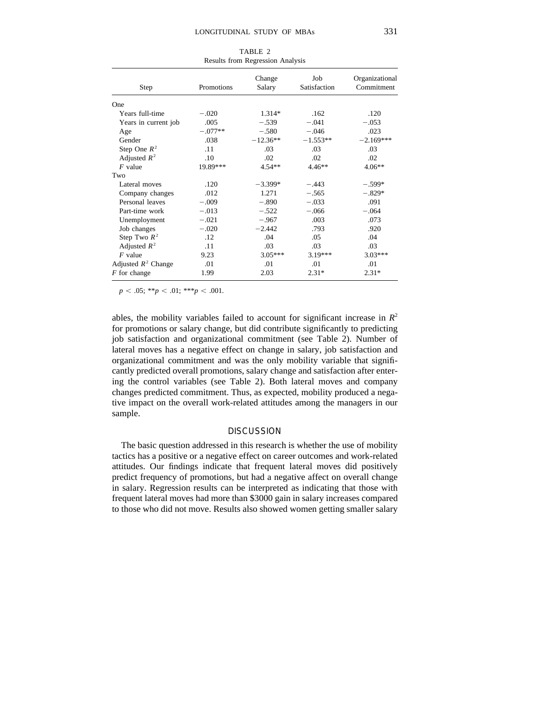| Step                  | Promotions | Change<br>Salary | Job<br>Satisfaction | Organizational<br>Commitment |  |  |
|-----------------------|------------|------------------|---------------------|------------------------------|--|--|
| One                   |            |                  |                     |                              |  |  |
| Years full-time       | $-.020$    | 1.314*           | .162                | .120                         |  |  |
| Years in current job  | .005       | $-.539$          | $-.041$             | $-.053$                      |  |  |
| Age                   | $-.077**$  | $-.580$          | $-.046$             | .023                         |  |  |
| Gender                | .038       | $-12.36**$       | $-1.553**$          | $-2.169***$                  |  |  |
| Step One $R^2$        | .11        | .03              | .03                 | .03                          |  |  |
| Adjusted $R^2$        | .10        | .02              | $.02\,$             | .02                          |  |  |
| $F$ value             | 19.89***   | $4.54**$         | $4.46**$            | $4.06**$                     |  |  |
| Two                   |            |                  |                     |                              |  |  |
| Lateral moves         | .120       | $-3.399*$        | $-.443$             | $-.599*$                     |  |  |
| Company changes       | .012       | 1.271            | $-.565$             | $-.829*$                     |  |  |
| Personal leaves       | $-.009$    | $-.890$          | $-.033$             | .091                         |  |  |
| Part-time work        | $-.013$    | $-.522$          | $-.066$             | $-.064$                      |  |  |
| Unemployment          | $-.021$    | $-.967$          | .003                | .073                         |  |  |
| Job changes           | $-.020$    | $-2.442$         | .793                | .920                         |  |  |
| Step Two $R^2$        | .12        | .04              | .05                 | .04                          |  |  |
| Adjusted $R^2$        | .11        | .03              | .03                 | .03                          |  |  |
| $F$ value             | 9.23       | $3.05***$        | $3.19***$           | $3.03***$                    |  |  |
| Adjusted $R^2$ Change | .01        | .01              | .01                 | .01                          |  |  |
| F for change          | 1.99       | 2.03             | $2.31*$             | $2.31*$                      |  |  |

TABLE 2 Results from Regression Analysis

 $p < .05$ ; \*\**p*  $< .01$ ; \*\*\**p*  $< .001$ .

ables, the mobility variables failed to account for significant increase in  $R^2$ for promotions or salary change, but did contribute significantly to predicting job satisfaction and organizational commitment (see Table 2). Number of lateral moves has a negative effect on change in salary, job satisfaction and organizational commitment and was the only mobility variable that significantly predicted overall promotions, salary change and satisfaction after entering the control variables (see Table 2). Both lateral moves and company changes predicted commitment. Thus, as expected, mobility produced a negative impact on the overall work-related attitudes among the managers in our sample.

### **DISCUSSION**

The basic question addressed in this research is whether the use of mobility tactics has a positive or a negative effect on career outcomes and work-related attitudes. Our findings indicate that frequent lateral moves did positively predict frequency of promotions, but had a negative affect on overall change in salary. Regression results can be interpreted as indicating that those with frequent lateral moves had more than \$3000 gain in salary increases compared to those who did not move. Results also showed women getting smaller salary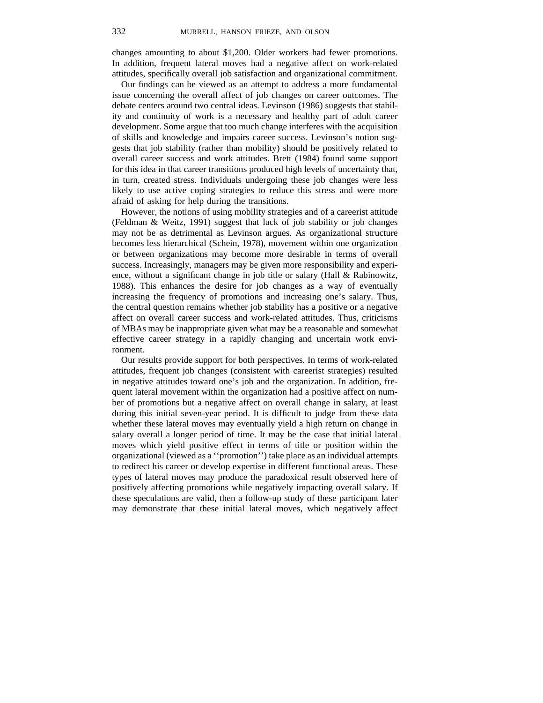changes amounting to about \$1,200. Older workers had fewer promotions. In addition, frequent lateral moves had a negative affect on work-related attitudes, specifically overall job satisfaction and organizational commitment.

Our findings can be viewed as an attempt to address a more fundamental issue concerning the overall affect of job changes on career outcomes. The debate centers around two central ideas. Levinson (1986) suggests that stability and continuity of work is a necessary and healthy part of adult career development. Some argue that too much change interferes with the acquisition of skills and knowledge and impairs career success. Levinson's notion suggests that job stability (rather than mobility) should be positively related to overall career success and work attitudes. Brett (1984) found some support for this idea in that career transitions produced high levels of uncertainty that, in turn, created stress. Individuals undergoing these job changes were less likely to use active coping strategies to reduce this stress and were more afraid of asking for help during the transitions.

However, the notions of using mobility strategies and of a careerist attitude (Feldman & Weitz, 1991) suggest that lack of job stability or job changes may not be as detrimental as Levinson argues. As organizational structure becomes less hierarchical (Schein, 1978), movement within one organization or between organizations may become more desirable in terms of overall success. Increasingly, managers may be given more responsibility and experience, without a significant change in job title or salary (Hall & Rabinowitz, 1988). This enhances the desire for job changes as a way of eventually increasing the frequency of promotions and increasing one's salary. Thus, the central question remains whether job stability has a positive or a negative affect on overall career success and work-related attitudes. Thus, criticisms of MBAs may be inappropriate given what may be a reasonable and somewhat effective career strategy in a rapidly changing and uncertain work environment.

Our results provide support for both perspectives. In terms of work-related attitudes, frequent job changes (consistent with careerist strategies) resulted in negative attitudes toward one's job and the organization. In addition, frequent lateral movement within the organization had a positive affect on number of promotions but a negative affect on overall change in salary, at least during this initial seven-year period. It is difficult to judge from these data whether these lateral moves may eventually yield a high return on change in salary overall a longer period of time. It may be the case that initial lateral moves which yield positive effect in terms of title or position within the organizational (viewed as a ''promotion'') take place as an individual attempts to redirect his career or develop expertise in different functional areas. These types of lateral moves may produce the paradoxical result observed here of positively affecting promotions while negatively impacting overall salary. If these speculations are valid, then a follow-up study of these participant later may demonstrate that these initial lateral moves, which negatively affect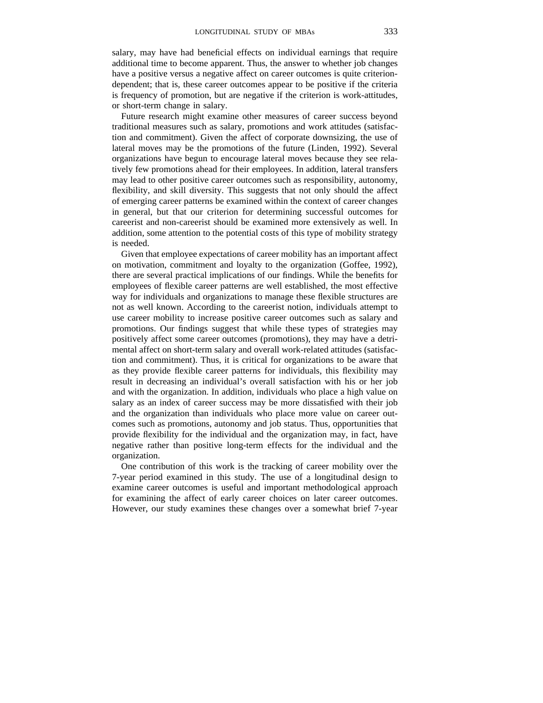salary, may have had beneficial effects on individual earnings that require additional time to become apparent. Thus, the answer to whether job changes have a positive versus a negative affect on career outcomes is quite criteriondependent; that is, these career outcomes appear to be positive if the criteria is frequency of promotion, but are negative if the criterion is work-attitudes, or short-term change in salary.

Future research might examine other measures of career success beyond traditional measures such as salary, promotions and work attitudes (satisfaction and commitment). Given the affect of corporate downsizing, the use of lateral moves may be the promotions of the future (Linden, 1992). Several organizations have begun to encourage lateral moves because they see relatively few promotions ahead for their employees. In addition, lateral transfers may lead to other positive career outcomes such as responsibility, autonomy, flexibility, and skill diversity. This suggests that not only should the affect of emerging career patterns be examined within the context of career changes in general, but that our criterion for determining successful outcomes for careerist and non-careerist should be examined more extensively as well. In addition, some attention to the potential costs of this type of mobility strategy is needed.

Given that employee expectations of career mobility has an important affect on motivation, commitment and loyalty to the organization (Goffee, 1992), there are several practical implications of our findings. While the benefits for employees of flexible career patterns are well established, the most effective way for individuals and organizations to manage these flexible structures are not as well known. According to the careerist notion, individuals attempt to use career mobility to increase positive career outcomes such as salary and promotions. Our findings suggest that while these types of strategies may positively affect some career outcomes (promotions), they may have a detrimental affect on short-term salary and overall work-related attitudes (satisfaction and commitment). Thus, it is critical for organizations to be aware that as they provide flexible career patterns for individuals, this flexibility may result in decreasing an individual's overall satisfaction with his or her job and with the organization. In addition, individuals who place a high value on salary as an index of career success may be more dissatisfied with their job and the organization than individuals who place more value on career outcomes such as promotions, autonomy and job status. Thus, opportunities that provide flexibility for the individual and the organization may, in fact, have negative rather than positive long-term effects for the individual and the organization.

One contribution of this work is the tracking of career mobility over the 7-year period examined in this study. The use of a longitudinal design to examine career outcomes is useful and important methodological approach for examining the affect of early career choices on later career outcomes. However, our study examines these changes over a somewhat brief 7-year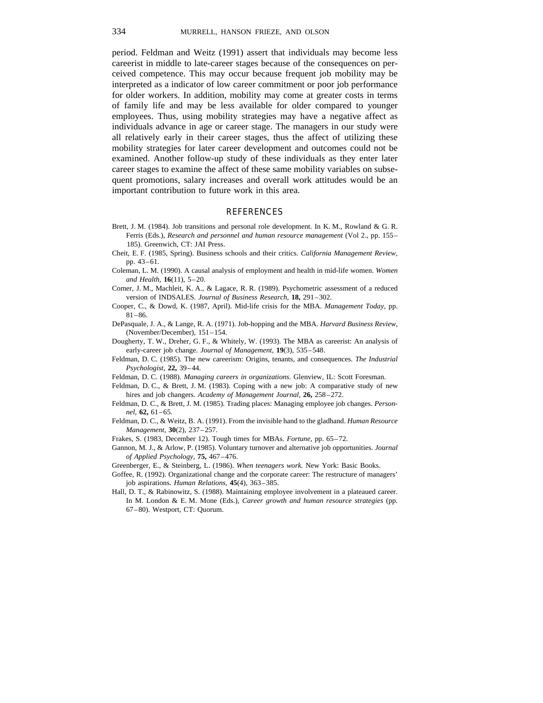period. Feldman and Weitz (1991) assert that individuals may become less careerist in middle to late-career stages because of the consequences on perceived competence. This may occur because frequent job mobility may be interpreted as a indicator of low career commitment or poor job performance for older workers. In addition, mobility may come at greater costs in terms of family life and may be less available for older compared to younger employees. Thus, using mobility strategies may have a negative affect as individuals advance in age or career stage. The managers in our study were all relatively early in their career stages, thus the affect of utilizing these mobility strategies for later career development and outcomes could not be examined. Another follow-up study of these individuals as they enter later career stages to examine the affect of these same mobility variables on subsequent promotions, salary increases and overall work attitudes would be an important contribution to future work in this area.

## **REFERENCES**

- Brett, J. M. (1984). Job transitions and personal role development. In K. M., Rowland & G. R. Ferris (Eds.), *Research and personnel and human resource management* (Vol 2., pp. 155– 185). Greenwich, CT: JAI Press.
- Cheit, E. F. (1985, Spring). Business schools and their critics. *California Management Review,* pp. 43–61.
- Coleman, L. M. (1990). A causal analysis of employment and health in mid-life women. *Women and Health,* **16**(11), 5–20.
- Comer, J. M., Machleit, K. A., & Lagace, R. R. (1989). Psychometric assessment of a reduced version of INDSALES. *Journal of Business Research,* **18,** 291–302.
- Cooper, C., & Dowd, K. (1987, April). Mid-life crisis for the MBA. *Management Today,* pp. 81–86.
- DePasquale, J. A., & Lange, R. A. (1971). Job-hopping and the MBA. *Harvard Business Review,* (November/December), 151–154.
- Dougherty, T. W., Dreher, G. F., & Whitely, W. (1993). The MBA as careerist: An analysis of early-career job change. *Journal of Management,* **19**(3), 535–548.
- Feldman, D. C. (1985). The new careerism: Origins, tenants, and consequences. *The Industrial Psychologist,* **22,** 39–44.
- Feldman, D. C. (1988). *Managing careers in organizations.* Glenview, IL: Scott Foresman.
- Feldman, D. C., & Brett, J. M. (1983). Coping with a new job: A comparative study of new hires and job changers. *Academy of Management Journal,* **26,** 258–272.
- Feldman, D. C., & Brett, J. M. (1985). Trading places: Managing employee job changes. *Personnel,* **62,** 61–65.
- Feldman, D. C., & Weitz, B. A. (1991). From the invisible hand to the gladhand. *Human Resource Management,* **30**(2), 237–257.
- Frakes, S. (1983, December 12). Tough times for MBAs. *Fortune,* pp. 65–72.
- Gannon, M. J., & Arlow, P. (1985). Voluntary turnover and alternative job opportunities. *Journal of Applied Psychology,* **75,** 467–476.
- Greenberger, E., & Steinberg, L. (1986). *When teenagers work.* New York: Basic Books.
- Goffee, R. (1992). Organizational change and the corporate career: The restructure of managers' job aspirations. *Human Relations,* **45**(4), 363–385.
- Hall, D. T., & Rabinowitz, S. (1988). Maintaining employee involvement in a plateaued career. In M. London & E. M. Mone (Eds.), *Career growth and human resource strategies* (pp. 67–80). Westport, CT: Quorum.